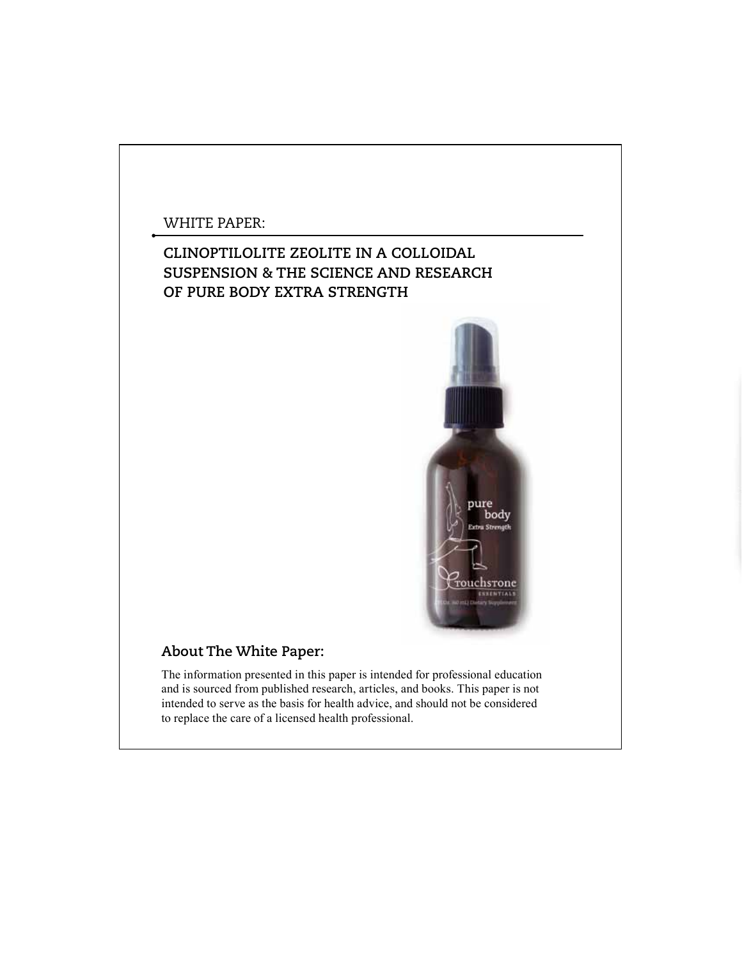### WHITE PAPER:

# **CLINOPTILOLITE ZEOLITE IN A COLLOIDAL SUSPENSION & THE SCIENCE AND RESEARCH OF PURE BODY EXTRA STRENGTH**



## **About The White Paper:**

The information presented in this paper is intended for professional education and is sourced from published research, articles, and books. This paper is not intended to serve as the basis for health advice, and should not be considered to replace the care of a licensed health professional.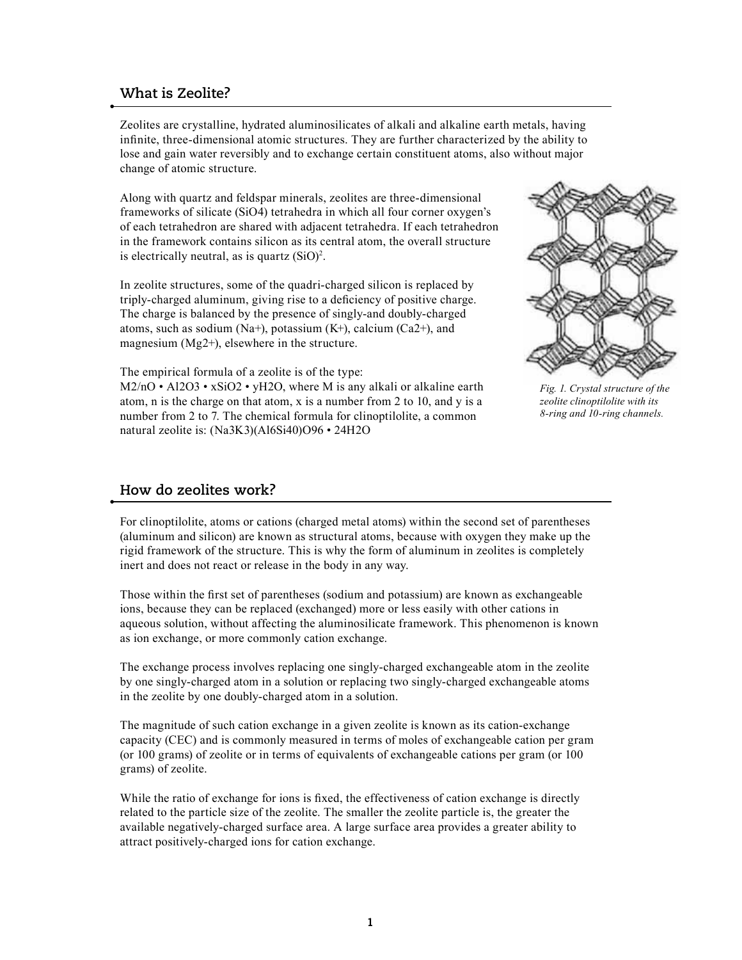#### **What is Zeolite?**

Zeolites are crystalline, hydrated aluminosilicates of alkali and alkaline earth metals, having infinite, three-dimensional atomic structures. They are further characterized by the ability to lose and gain water reversibly and to exchange certain constituent atoms, also without major change of atomic structure.

Along with quartz and feldspar minerals, zeolites are three-dimensional frameworks of silicate (SiO4) tetrahedra in which all four corner oxygen's of each tetrahedron are shared with adjacent tetrahedra. If each tetrahedron in the framework contains silicon as its central atom, the overall structure is electrically neutral, as is quartz  $(SiO)^2$ .

In zeolite structures, some of the quadri-charged silicon is replaced by triply-charged aluminum, giving rise to a deficiency of positive charge. The charge is balanced by the presence of singly-and doubly-charged atoms, such as sodium (Na+), potassium  $(K+)$ , calcium  $(Ca2+)$ , and magnesium (Mg2+), elsewhere in the structure.

The empirical formula of a zeolite is of the type:

 $M2/nO \cdot A12O3 \cdot xSiO2 \cdot yH2O$ , where M is any alkali or alkaline earth atom, n is the charge on that atom, x is a number from 2 to 10, and y is a number from 2 to 7. The chemical formula for clinoptilolite, a common natural zeolite is: (Na3K3)(Al6Si40)O96 • 24H2O



*Fig. 1. Crystal structure of the zeolite clinoptilolite with its 8-ring and 10-ring channels.*

### **How do zeolites work?**

For clinoptilolite, atoms or cations (charged metal atoms) within the second set of parentheses (aluminum and silicon) are known as structural atoms, because with oxygen they make up the rigid framework of the structure. This is why the form of aluminum in zeolites is completely inert and does not react or release in the body in any way.

Those within the first set of parentheses (sodium and potassium) are known as exchangeable ions, because they can be replaced (exchanged) more or less easily with other cations in aqueous solution, without affecting the aluminosilicate framework. This phenomenon is known as ion exchange, or more commonly cation exchange.

The exchange process involves replacing one singly-charged exchangeable atom in the zeolite by one singly-charged atom in a solution or replacing two singly-charged exchangeable atoms in the zeolite by one doubly-charged atom in a solution.

The magnitude of such cation exchange in a given zeolite is known as its cation-exchange capacity (CEC) and is commonly measured in terms of moles of exchangeable cation per gram (or 100 grams) of zeolite or in terms of equivalents of exchangeable cations per gram (or 100 grams) of zeolite.

While the ratio of exchange for ions is fixed, the effectiveness of cation exchange is directly related to the particle size of the zeolite. The smaller the zeolite particle is, the greater the available negatively-charged surface area. A large surface area provides a greater ability to attract positively-charged ions for cation exchange.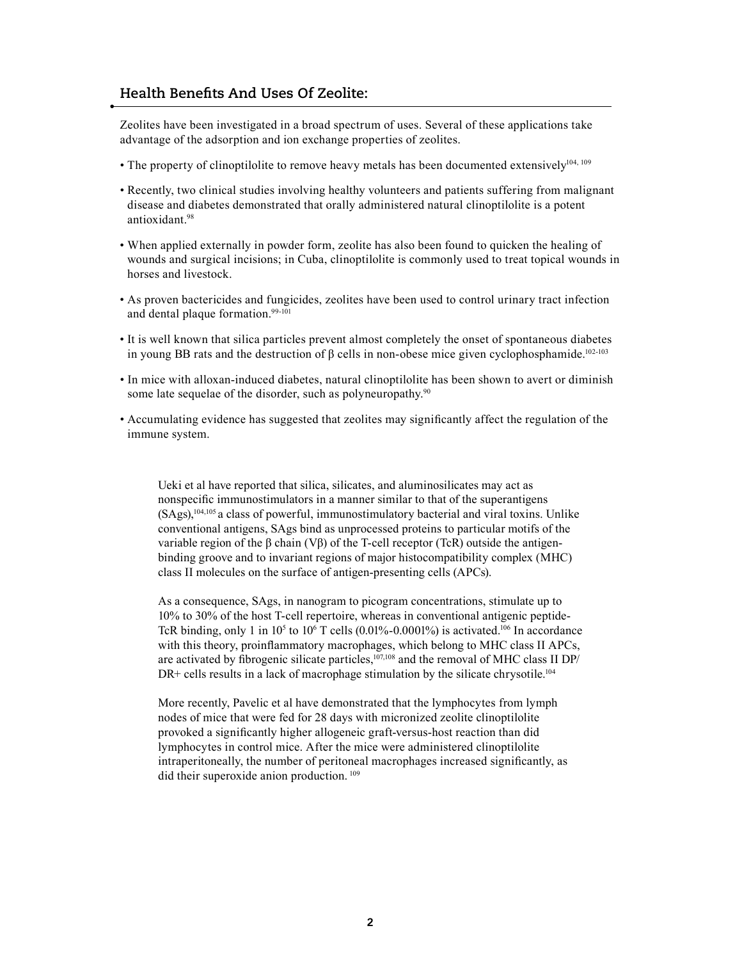### **Health Benefits And Uses Of Zeolite:**

Zeolites have been investigated in a broad spectrum of uses. Several of these applications take advantage of the adsorption and ion exchange properties of zeolites.

- The property of clinoptilolite to remove heavy metals has been documented extensively<sup>104, 109</sup>
- Recently, two clinical studies involving healthy volunteers and patients suffering from malignant disease and diabetes demonstrated that orally administered natural clinoptilolite is a potent antioxidant.<sup>98</sup>
- When applied externally in powder form, zeolite has also been found to quicken the healing of wounds and surgical incisions; in Cuba, clinoptilolite is commonly used to treat topical wounds in horses and livestock.
- As proven bactericides and fungicides, zeolites have been used to control urinary tract infection and dental plaque formation.<sup>99-101</sup>
- It is well known that silica particles prevent almost completely the onset of spontaneous diabetes in young BB rats and the destruction of β cells in non-obese mice given cyclophosphamide.<sup>102-103</sup>
- In mice with alloxan-induced diabetes, natural clinoptilolite has been shown to avert or diminish some late sequelae of the disorder, such as polyneuropathy.<sup>90</sup>
- Accumulating evidence has suggested that zeolites may significantly affect the regulation of the immune system.

Ueki et al have reported that silica, silicates, and aluminosilicates may act as nonspecific immunostimulators in a manner similar to that of the superantigens (SAgs),104,105 a class of powerful, immunostimulatory bacterial and viral toxins. Unlike conventional antigens, SAgs bind as unprocessed proteins to particular motifs of the variable region of the β chain (Vβ) of the T-cell receptor (TcR) outside the antigenbinding groove and to invariant regions of major histocompatibility complex (MHC) class II molecules on the surface of antigen-presenting cells (APCs).

As a consequence, SAgs, in nanogram to picogram concentrations, stimulate up to 10% to 30% of the host T-cell repertoire, whereas in conventional antigenic peptide-TcR binding, only 1 in  $10<sup>5</sup>$  to  $10<sup>6</sup>$  T cells (0.01%-0.0001%) is activated.<sup>106</sup> In accordance with this theory, proinflammatory macrophages, which belong to MHC class II APCs, are activated by fibrogenic silicate particles,<sup>107,108</sup> and the removal of MHC class II DP/ DR+ cells results in a lack of macrophage stimulation by the silicate chrysotile.<sup>104</sup>

More recently, Pavelic et al have demonstrated that the lymphocytes from lymph nodes of mice that were fed for 28 days with micronized zeolite clinoptilolite provoked a significantly higher allogeneic graft-versus-host reaction than did lymphocytes in control mice. After the mice were administered clinoptilolite intraperitoneally, the number of peritoneal macrophages increased significantly, as did their superoxide anion production. 109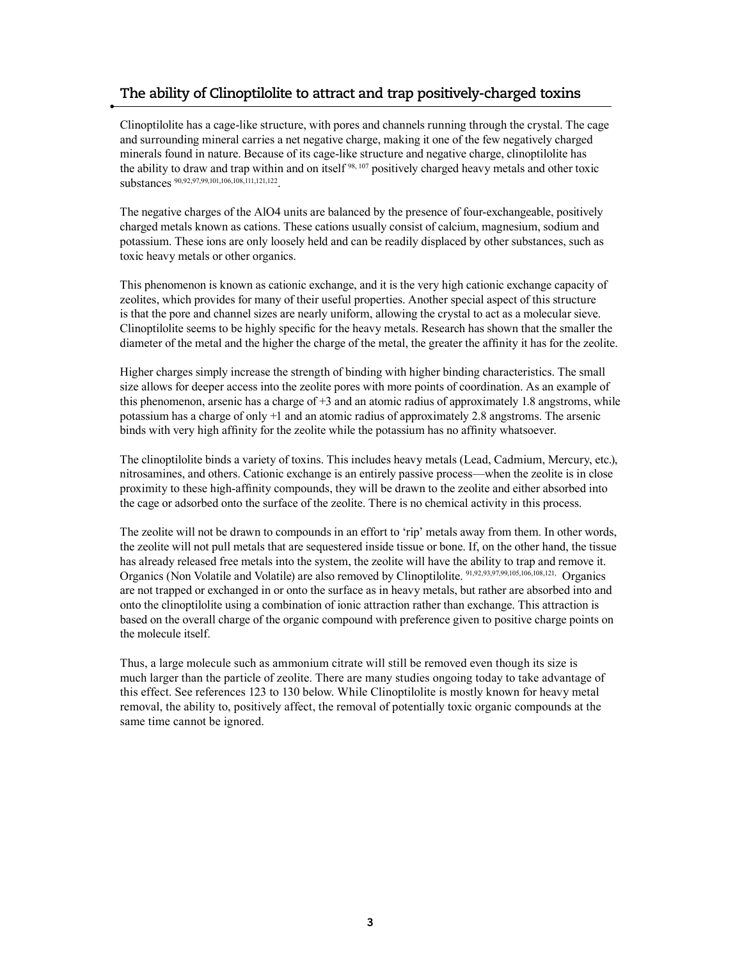### **The ability of Clinoptilolite to attract and trap positively-charged toxins**

Clinoptilolite has a cage-like structure, with pores and channels running through the crystal. The cage and surrounding mineral carries a net negative charge, making it one of the few negatively charged minerals found in nature. Because of its cage-like structure and negative charge, clinoptilolite has the ability to draw and trap within and on itself <sup>98, 107</sup> positively charged heavy metals and other toxic substances 90,92,97,99,101,106,108,111,121,122.

The negative charges of the AlO4 units are balanced by the presence of four-exchangeable, positively charged metals known as cations. These cations usually consist of calcium, magnesium, sodium and potassium. These ions are only loosely held and can be readily displaced by other substances, such as toxic heavy metals or other organics.

This phenomenon is known as cationic exchange, and it is the very high cationic exchange capacity of zeolites, which provides for many of their useful properties. Another special aspect of this structure is that the pore and channel sizes are nearly uniform, allowing the crystal to act as a molecular sieve. Clinoptilolite seems to be highly specific for the heavy metals. Research has shown that the smaller the diameter of the metal and the higher the charge of the metal, the greater the affinity it has for the zeolite.

Higher charges simply increase the strength of binding with higher binding characteristics. The small size allows for deeper access into the zeolite pores with more points of coordination. As an example of this phenomenon, arsenic has a charge of +3 and an atomic radius of approximately 1.8 angstroms, while potassium has a charge of only +1 and an atomic radius of approximately 2.8 angstroms. The arsenic binds with very high affinity for the zeolite while the potassium has no affinity whatsoever.

The clinoptilolite binds a variety of toxins. This includes heavy metals (Lead, Cadmium, Mercury, etc.), nitrosamines, and others. Cationic exchange is an entirely passive process—when the zeolite is in close proximity to these high-affinity compounds, they will be drawn to the zeolite and either absorbed into the cage or adsorbed onto the surface of the zeolite. There is no chemical activity in this process.

The zeolite will not be drawn to compounds in an effort to 'rip' metals away from them. In other words, the zeolite will not pull metals that are sequestered inside tissue or bone. If, on the other hand, the tissue has already released free metals into the system, the zeolite will have the ability to trap and remove it. Organics (Non Volatile and Volatile) are also removed by Clinoptilolite. 91,92,93,97,99,105,106,108,121, Organics are not trapped or exchanged in or onto the surface as in heavy metals, but rather are absorbed into and onto the clinoptilolite using a combination of ionic attraction rather than exchange. This attraction is based on the overall charge of the organic compound with preference given to positive charge points on the molecule itself.

Thus, a large molecule such as ammonium citrate will still be removed even though its size is much larger than the particle of zeolite. There are many studies ongoing today to take advantage of this effect. See references 123 to 130 below. While Clinoptilolite is mostly known for heavy metal removal, the ability to, positively affect, the removal of potentially toxic organic compounds at the same time cannot be ignored.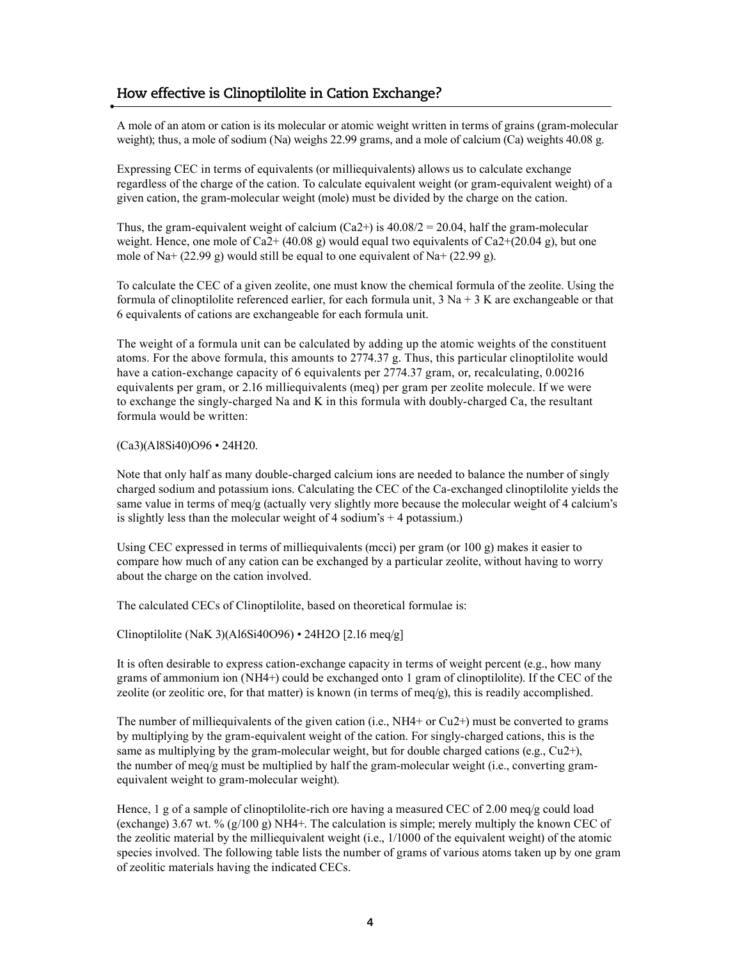#### **How effective is Clinoptilolite in Cation Exchange?**

A mole of an atom or cation is its molecular or atomic weight written in terms of grains (gram-molecular weight); thus, a mole of sodium (Na) weighs 22.99 grams, and a mole of calcium (Ca) weights 40.08 g.

Expressing CEC in terms of equivalents (or milliequivalents) allows us to calculate exchange regardless of the charge of the cation. To calculate equivalent weight (or gram-equivalent weight) of a given cation, the gram-molecular weight (mole) must be divided by the charge on the cation.

Thus, the gram-equivalent weight of calcium (Ca2+) is  $40.08/2 = 20.04$ , half the gram-molecular weight. Hence, one mole of Ca2+  $(40.08 \text{ g})$  would equal two equivalents of Ca2+ $(20.04 \text{ g})$ , but one mole of Na+  $(22.99 \text{ g})$  would still be equal to one equivalent of Na+  $(22.99 \text{ g})$ .

To calculate the CEC of a given zeolite, one must know the chemical formula of the zeolite. Using the formula of clinoptilolite referenced earlier, for each formula unit,  $3$  Na +  $3$  K are exchangeable or that 6 equivalents of cations are exchangeable for each formula unit.

The weight of a formula unit can be calculated by adding up the atomic weights of the constituent atoms. For the above formula, this amounts to 2774.37 g. Thus, this particular clinoptilolite would have a cation-exchange capacity of 6 equivalents per 2774.37 gram, or, recalculating, 0.00216 equivalents per gram, or 2.16 milliequivalents (meq) per gram per zeolite molecule. If we were to exchange the singly-charged Na and K in this formula with doubly-charged Ca, the resultant formula would be written:

(Ca3)(Al8Si40)O96 • 24H20.

Note that only half as many double-charged calcium ions are needed to balance the number of singly charged sodium and potassium ions. Calculating the CEC of the Ca-exchanged clinoptilolite yields the same value in terms of meq/g (actually very slightly more because the molecular weight of 4 calcium's is slightly less than the molecular weight of 4 sodium's  $+$  4 potassium.)

Using CEC expressed in terms of milliequivalents (mcci) per gram (or 100 g) makes it easier to compare how much of any cation can be exchanged by a particular zeolite, without having to worry about the charge on the cation involved.

The calculated CECs of Clinoptilolite, based on theoretical formulae is:

Clinoptilolite (NaK 3)(Al6Si40O96) • 24H2O [2.16 meq/g]

It is often desirable to express cation-exchange capacity in terms of weight percent (e.g., how many grams of ammonium ion (NH4+) could be exchanged onto 1 gram of clinoptilolite). If the CEC of the zeolite (or zeolitic ore, for that matter) is known (in terms of meq/g), this is readily accomplished.

The number of milliequivalents of the given cation (i.e., NH4+ or Cu2+) must be converted to grams by multiplying by the gram-equivalent weight of the cation. For singly-charged cations, this is the same as multiplying by the gram-molecular weight, but for double charged cations (e.g., Cu2+), the number of meq/g must be multiplied by half the gram-molecular weight (i.e., converting gramequivalent weight to gram-molecular weight).

Hence, 1 g of a sample of clinoptilolite-rich ore having a measured CEC of 2.00 meq/g could load (exchange) 3.67 wt. %  $(g/100 g)$  NH4+. The calculation is simple; merely multiply the known CEC of the zeolitic material by the milliequivalent weight (i.e., 1/1000 of the equivalent weight) of the atomic species involved. The following table lists the number of grams of various atoms taken up by one gram of zeolitic materials having the indicated CECs.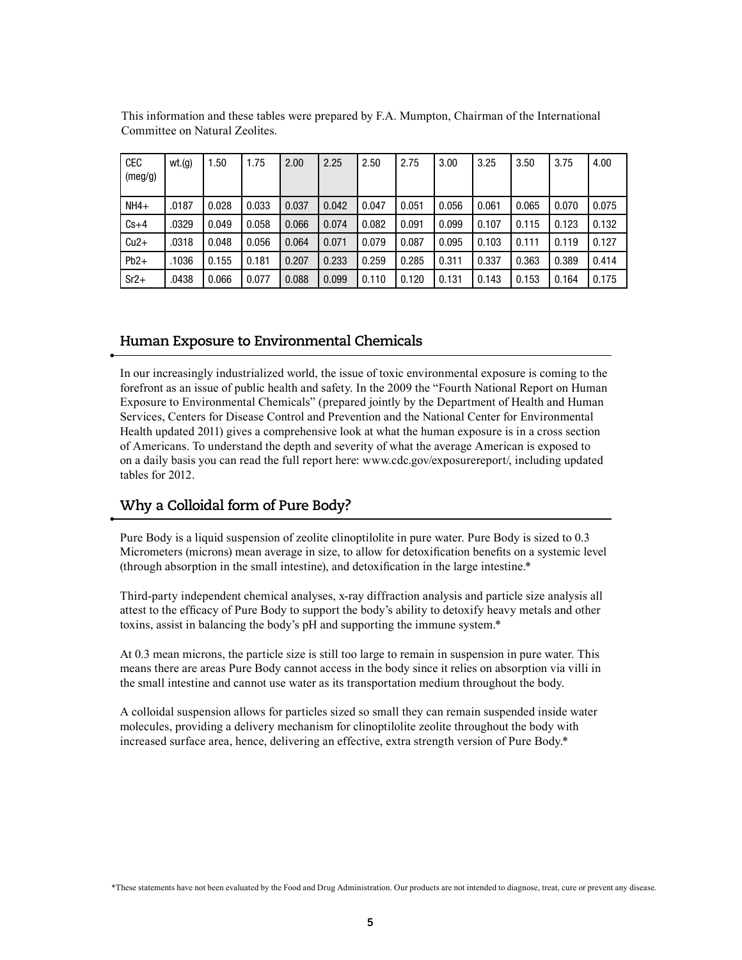| <b>CEC</b><br>(meg/g) | wt(q) | 1.50  | 1.75  | 2.00  | 2.25  | 2.50  | 2.75  | 3.00  | 3.25  | 3.50  | 3.75  | 4.00  |
|-----------------------|-------|-------|-------|-------|-------|-------|-------|-------|-------|-------|-------|-------|
| $NH4+$                | .0187 | 0.028 | 0.033 | 0.037 | 0.042 | 0.047 | 0.051 | 0.056 | 0.061 | 0.065 | 0.070 | 0.075 |
| $Cs+4$                | .0329 | 0.049 | 0.058 | 0.066 | 0.074 | 0.082 | 0.091 | 0.099 | 0.107 | 0.115 | 0.123 | 0.132 |
| $Cu2+$                | .0318 | 0.048 | 0.056 | 0.064 | 0.071 | 0.079 | 0.087 | 0.095 | 0.103 | 0.111 | 0.119 | 0.127 |
| $Pb2+$                | .1036 | 0.155 | 0.181 | 0.207 | 0.233 | 0.259 | 0.285 | 0.311 | 0.337 | 0.363 | 0.389 | 0.414 |
| $Sr2+$                | .0438 | 0.066 | 0.077 | 0.088 | 0.099 | 0.110 | 0.120 | 0.131 | 0.143 | 0.153 | 0.164 | 0.175 |

This information and these tables were prepared by F.A. Mumpton, Chairman of the International Committee on Natural Zeolites.

### **Human Exposure to Environmental Chemicals**

In our increasingly industrialized world, the issue of toxic environmental exposure is coming to the forefront as an issue of public health and safety. In the 2009 the "Fourth National Report on Human Exposure to Environmental Chemicals" (prepared jointly by the Department of Health and Human Services, Centers for Disease Control and Prevention and the National Center for Environmental Health updated 2011) gives a comprehensive look at what the human exposure is in a cross section of Americans. To understand the depth and severity of what the average American is exposed to on a daily basis you can read the full report here: www.cdc.gov/exposurereport/, including updated tables for 2012.

#### **Why a Colloidal form of Pure Body?**

Pure Body is a liquid suspension of zeolite clinoptilolite in pure water. Pure Body is sized to 0.3 Micrometers (microns) mean average in size, to allow for detoxification benefits on a systemic level (through absorption in the small intestine), and detoxification in the large intestine.\*

Third-party independent chemical analyses, x-ray diffraction analysis and particle size analysis all attest to the efficacy of Pure Body to support the body's ability to detoxify heavy metals and other toxins, assist in balancing the body's pH and supporting the immune system.\*

At 0.3 mean microns, the particle size is still too large to remain in suspension in pure water. This means there are areas Pure Body cannot access in the body since it relies on absorption via villi in the small intestine and cannot use water as its transportation medium throughout the body.

A colloidal suspension allows for particles sized so small they can remain suspended inside water molecules, providing a delivery mechanism for clinoptilolite zeolite throughout the body with increased surface area, hence, delivering an effective, extra strength version of Pure Body.\*

\*These statements have not been evaluated by the Food and Drug Administration. Our products are not intended to diagnose, treat, cure or prevent any disease.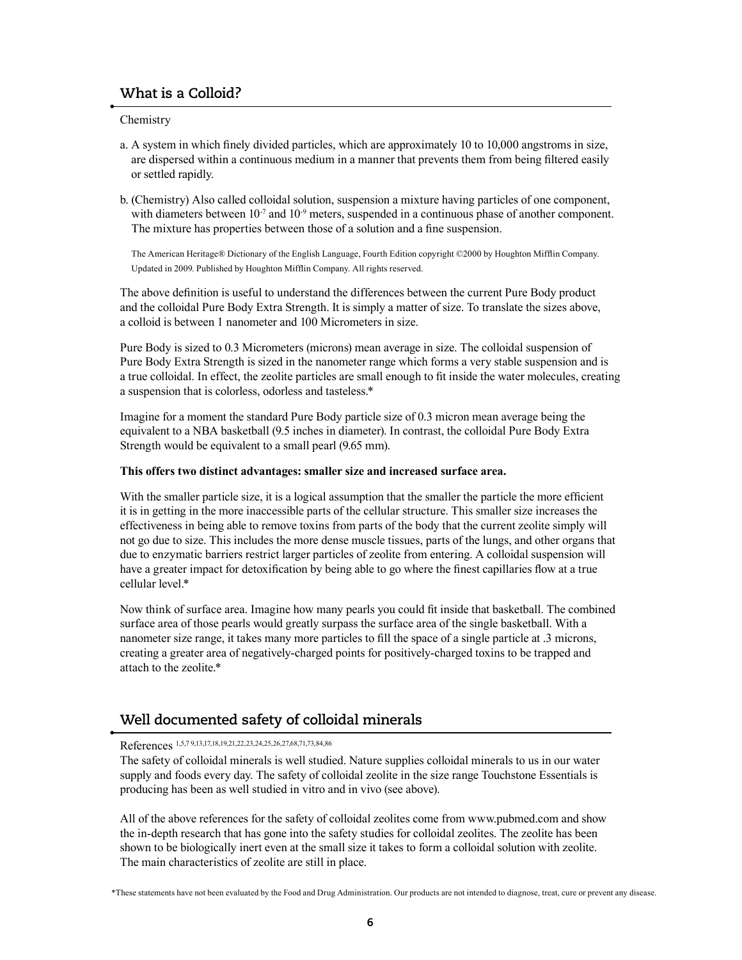### **What is a Colloid?**

**Chemistry** 

- a. A system in which finely divided particles, which are approximately 10 to 10,000 angstroms in size, are dispersed within a continuous medium in a manner that prevents them from being filtered easily or settled rapidly.
- b. (Chemistry) Also called colloidal solution, suspension a mixture having particles of one component, with diameters between  $10^{-7}$  and  $10^{-9}$  meters, suspended in a continuous phase of another component. The mixture has properties between those of a solution and a fine suspension.

The American Heritage® Dictionary of the English Language, Fourth Edition copyright ©2000 by Houghton Mifflin Company. Updated in 2009. Published by Houghton Mifflin Company. All rights reserved.

The above definition is useful to understand the differences between the current Pure Body product and the colloidal Pure Body Extra Strength. It is simply a matter of size. To translate the sizes above, a colloid is between 1 nanometer and 100 Micrometers in size.

Pure Body is sized to 0.3 Micrometers (microns) mean average in size. The colloidal suspension of Pure Body Extra Strength is sized in the nanometer range which forms a very stable suspension and is a true colloidal. In effect, the zeolite particles are small enough to fit inside the water molecules, creating a suspension that is colorless, odorless and tasteless.\*

Imagine for a moment the standard Pure Body particle size of 0.3 micron mean average being the equivalent to a NBA basketball (9.5 inches in diameter). In contrast, the colloidal Pure Body Extra Strength would be equivalent to a small pearl (9.65 mm).

#### **This offers two distinct advantages: smaller size and increased surface area.**

With the smaller particle size, it is a logical assumption that the smaller the particle the more efficient it is in getting in the more inaccessible parts of the cellular structure. This smaller size increases the effectiveness in being able to remove toxins from parts of the body that the current zeolite simply will not go due to size. This includes the more dense muscle tissues, parts of the lungs, and other organs that due to enzymatic barriers restrict larger particles of zeolite from entering. A colloidal suspension will have a greater impact for detoxification by being able to go where the finest capillaries flow at a true cellular level.\*

Now think of surface area. Imagine how many pearls you could fit inside that basketball. The combined surface area of those pearls would greatly surpass the surface area of the single basketball. With a nanometer size range, it takes many more particles to fill the space of a single particle at .3 microns, creating a greater area of negatively-charged points for positively-charged toxins to be trapped and attach to the zeolite.\*

### **Well documented safety of colloidal minerals**

References 1,5,7 9,13,17,18,19,21,22,23,24,25,26,27,68,71,73,84,86

The safety of colloidal minerals is well studied. Nature supplies colloidal minerals to us in our water supply and foods every day. The safety of colloidal zeolite in the size range Touchstone Essentials is producing has been as well studied in vitro and in vivo (see above).

All of the above references for the safety of colloidal zeolites come from www.pubmed.com and show the in-depth research that has gone into the safety studies for colloidal zeolites. The zeolite has been shown to be biologically inert even at the small size it takes to form a colloidal solution with zeolite. The main characteristics of zeolite are still in place.

\*These statements have not been evaluated by the Food and Drug Administration. Our products are not intended to diagnose, treat, cure or prevent any disease.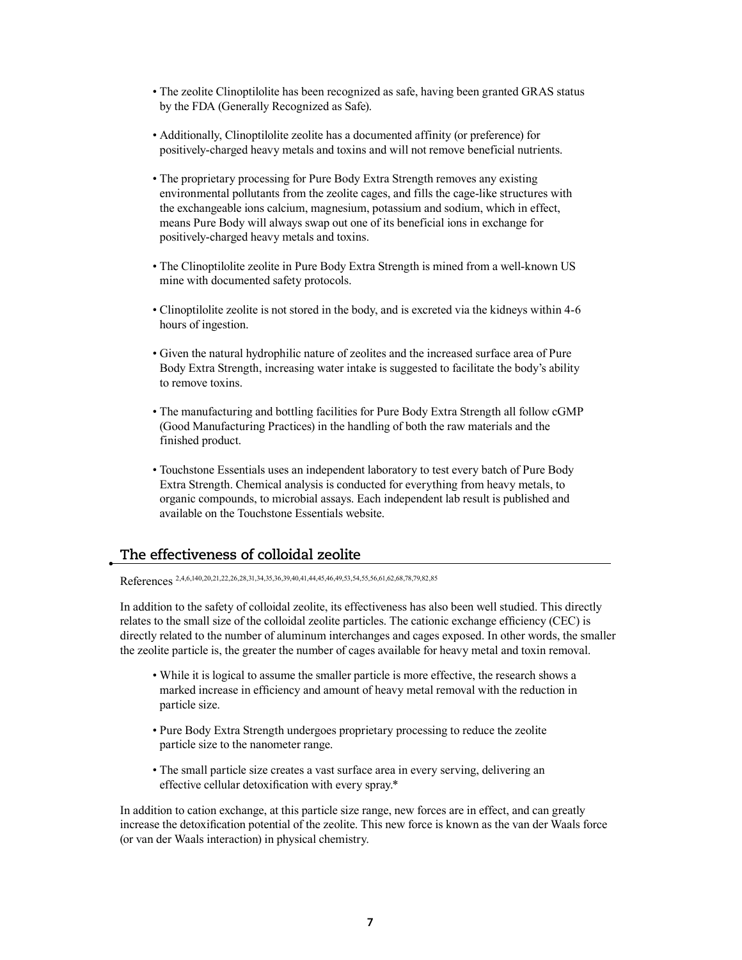- The zeolite Clinoptilolite has been recognized as safe, having been granted GRAS status by the FDA (Generally Recognized as Safe).
- Additionally, Clinoptilolite zeolite has a documented affinity (or preference) for positively-charged heavy metals and toxins and will not remove beneficial nutrients.
- The proprietary processing for Pure Body Extra Strength removes any existing environmental pollutants from the zeolite cages, and fills the cage-like structures with the exchangeable ions calcium, magnesium, potassium and sodium, which in effect, means Pure Body will always swap out one of its beneficial ions in exchange for positively-charged heavy metals and toxins.
- The Clinoptilolite zeolite in Pure Body Extra Strength is mined from a well-known US mine with documented safety protocols.
- Clinoptilolite zeolite is not stored in the body, and is excreted via the kidneys within 4-6 hours of ingestion.
- Given the natural hydrophilic nature of zeolites and the increased surface area of Pure Body Extra Strength, increasing water intake is suggested to facilitate the body's ability to remove toxins.
- The manufacturing and bottling facilities for Pure Body Extra Strength all follow cGMP (Good Manufacturing Practices) in the handling of both the raw materials and the finished product.
- Touchstone Essentials uses an independent laboratory to test every batch of Pure Body Extra Strength. Chemical analysis is conducted for everything from heavy metals, to organic compounds, to microbial assays. Each independent lab result is published and available on the Touchstone Essentials website.

#### **The effectiveness of colloidal zeolite**

References 2,4,6,140,20,21,22,26,28,31,34,35,36,39,40,41,44,45,46,49,53,54,55,56,61,62,68,78,79,82,85

In addition to the safety of colloidal zeolite, its effectiveness has also been well studied. This directly relates to the small size of the colloidal zeolite particles. The cationic exchange efficiency (CEC) is directly related to the number of aluminum interchanges and cages exposed. In other words, the smaller the zeolite particle is, the greater the number of cages available for heavy metal and toxin removal.

- While it is logical to assume the smaller particle is more effective, the research shows a marked increase in efficiency and amount of heavy metal removal with the reduction in particle size.
- Pure Body Extra Strength undergoes proprietary processing to reduce the zeolite particle size to the nanometer range.
- The small particle size creates a vast surface area in every serving, delivering an effective cellular detoxification with every spray.\*

In addition to cation exchange, at this particle size range, new forces are in effect, and can greatly increase the detoxification potential of the zeolite. This new force is known as the van der Waals force (or van der Waals interaction) in physical chemistry.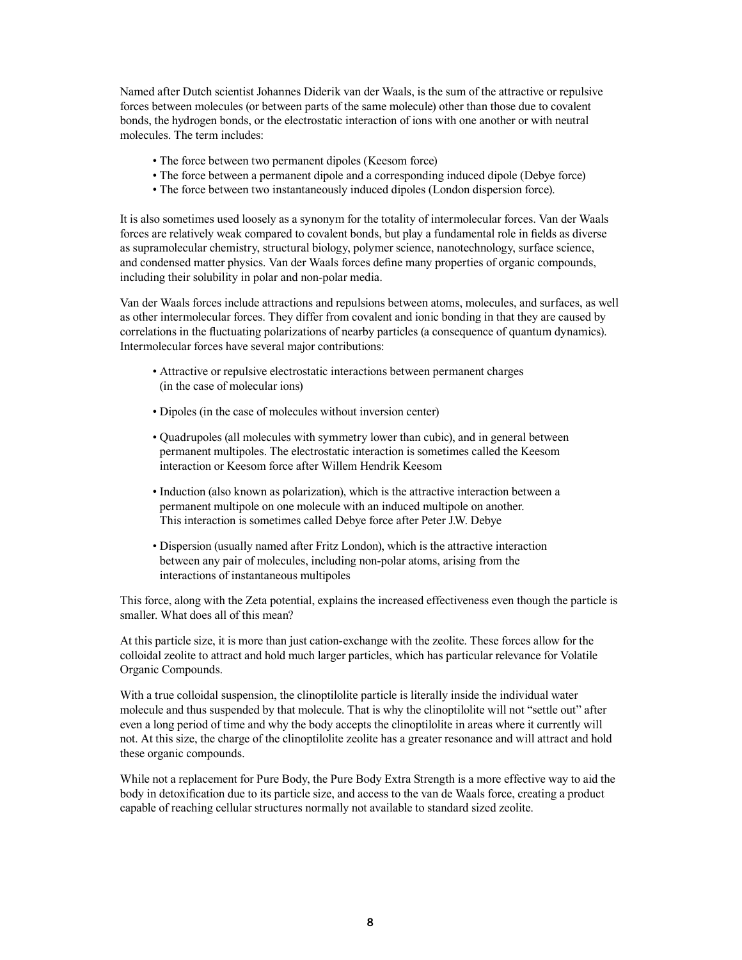Named after Dutch scientist Johannes Diderik van der Waals, is the sum of the attractive or repulsive forces between molecules (or between parts of the same molecule) other than those due to covalent bonds, the hydrogen bonds, or the electrostatic interaction of ions with one another or with neutral molecules. The term includes:

- The force between two permanent dipoles (Keesom force)
- The force between a permanent dipole and a corresponding induced dipole (Debye force)
- The force between two instantaneously induced dipoles (London dispersion force).

It is also sometimes used loosely as a synonym for the totality of intermolecular forces. Van der Waals forces are relatively weak compared to covalent bonds, but play a fundamental role in fields as diverse as supramolecular chemistry, structural biology, polymer science, nanotechnology, surface science, and condensed matter physics. Van der Waals forces define many properties of organic compounds, including their solubility in polar and non-polar media.

Van der Waals forces include attractions and repulsions between atoms, molecules, and surfaces, as well as other intermolecular forces. They differ from covalent and ionic bonding in that they are caused by correlations in the fluctuating polarizations of nearby particles (a consequence of quantum dynamics). Intermolecular forces have several major contributions:

- Attractive or repulsive electrostatic interactions between permanent charges (in the case of molecular ions)
- Dipoles (in the case of molecules without inversion center)
- Quadrupoles (all molecules with symmetry lower than cubic), and in general between permanent multipoles. The electrostatic interaction is sometimes called the Keesom interaction or Keesom force after Willem Hendrik Keesom
- Induction (also known as polarization), which is the attractive interaction between a permanent multipole on one molecule with an induced multipole on another. This interaction is sometimes called Debye force after Peter J.W. Debye
- Dispersion (usually named after Fritz London), which is the attractive interaction between any pair of molecules, including non-polar atoms, arising from the interactions of instantaneous multipoles

This force, along with the Zeta potential, explains the increased effectiveness even though the particle is smaller. What does all of this mean?

At this particle size, it is more than just cation-exchange with the zeolite. These forces allow for the colloidal zeolite to attract and hold much larger particles, which has particular relevance for Volatile Organic Compounds.

With a true colloidal suspension, the clinoptilolite particle is literally inside the individual water molecule and thus suspended by that molecule. That is why the clinoptilolite will not "settle out" after even a long period of time and why the body accepts the clinoptilolite in areas where it currently will not. At this size, the charge of the clinoptilolite zeolite has a greater resonance and will attract and hold these organic compounds.

While not a replacement for Pure Body, the Pure Body Extra Strength is a more effective way to aid the body in detoxification due to its particle size, and access to the van de Waals force, creating a product capable of reaching cellular structures normally not available to standard sized zeolite.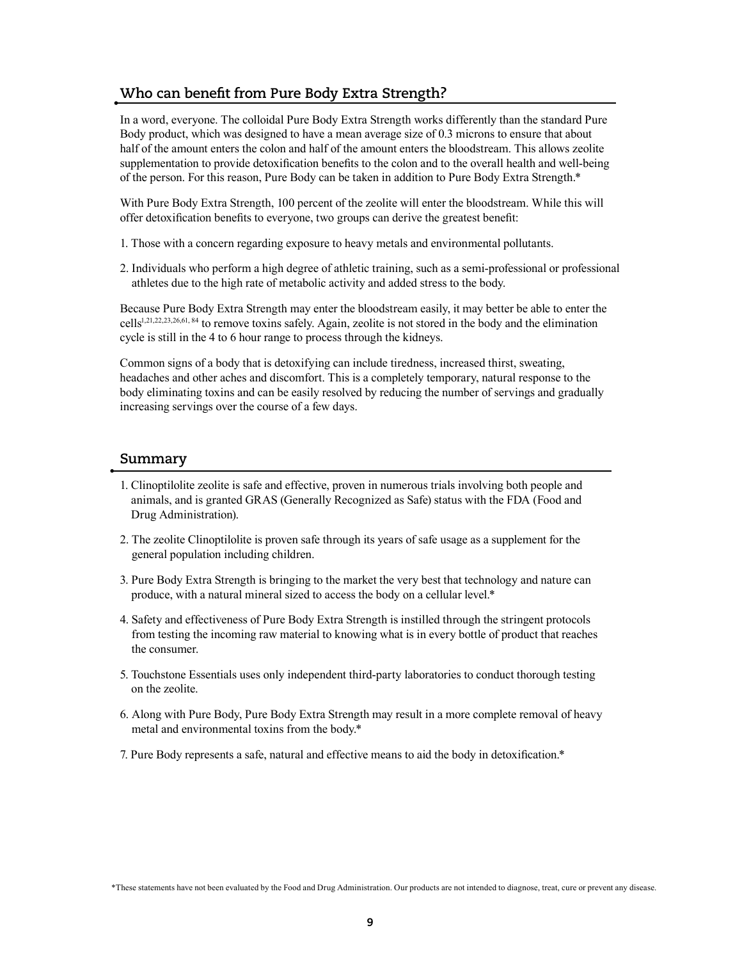### **Who can benefit from Pure Body Extra Strength?**

In a word, everyone. The colloidal Pure Body Extra Strength works differently than the standard Pure Body product, which was designed to have a mean average size of 0.3 microns to ensure that about half of the amount enters the colon and half of the amount enters the bloodstream. This allows zeolite supplementation to provide detoxification benefits to the colon and to the overall health and well-being of the person. For this reason, Pure Body can be taken in addition to Pure Body Extra Strength.\*

With Pure Body Extra Strength, 100 percent of the zeolite will enter the bloodstream. While this will offer detoxification benefits to everyone, two groups can derive the greatest benefit:

- 1. Those with a concern regarding exposure to heavy metals and environmental pollutants.
- 2. Individuals who perform a high degree of athletic training, such as a semi-professional or professional athletes due to the high rate of metabolic activity and added stress to the body.

Because Pure Body Extra Strength may enter the bloodstream easily, it may better be able to enter the cells<sup>1,21,22,23,26,61,84</sup> to remove toxins safely. Again, zeolite is not stored in the body and the elimination cycle is still in the 4 to 6 hour range to process through the kidneys.

Common signs of a body that is detoxifying can include tiredness, increased thirst, sweating, headaches and other aches and discomfort. This is a completely temporary, natural response to the body eliminating toxins and can be easily resolved by reducing the number of servings and gradually increasing servings over the course of a few days.

#### **Summary**

- 1. Clinoptilolite zeolite is safe and effective, proven in numerous trials involving both people and animals, and is granted GRAS (Generally Recognized as Safe) status with the FDA (Food and Drug Administration).
- 2. The zeolite Clinoptilolite is proven safe through its years of safe usage as a supplement for the general population including children.
- 3. Pure Body Extra Strength is bringing to the market the very best that technology and nature can produce, with a natural mineral sized to access the body on a cellular level.\*
- 4. Safety and effectiveness of Pure Body Extra Strength is instilled through the stringent protocols from testing the incoming raw material to knowing what is in every bottle of product that reaches the consumer.
- 5. Touchstone Essentials uses only independent third-party laboratories to conduct thorough testing on the zeolite.
- 6. Along with Pure Body, Pure Body Extra Strength may result in a more complete removal of heavy metal and environmental toxins from the body.\*
- 7. Pure Body represents a safe, natural and effective means to aid the body in detoxification.\*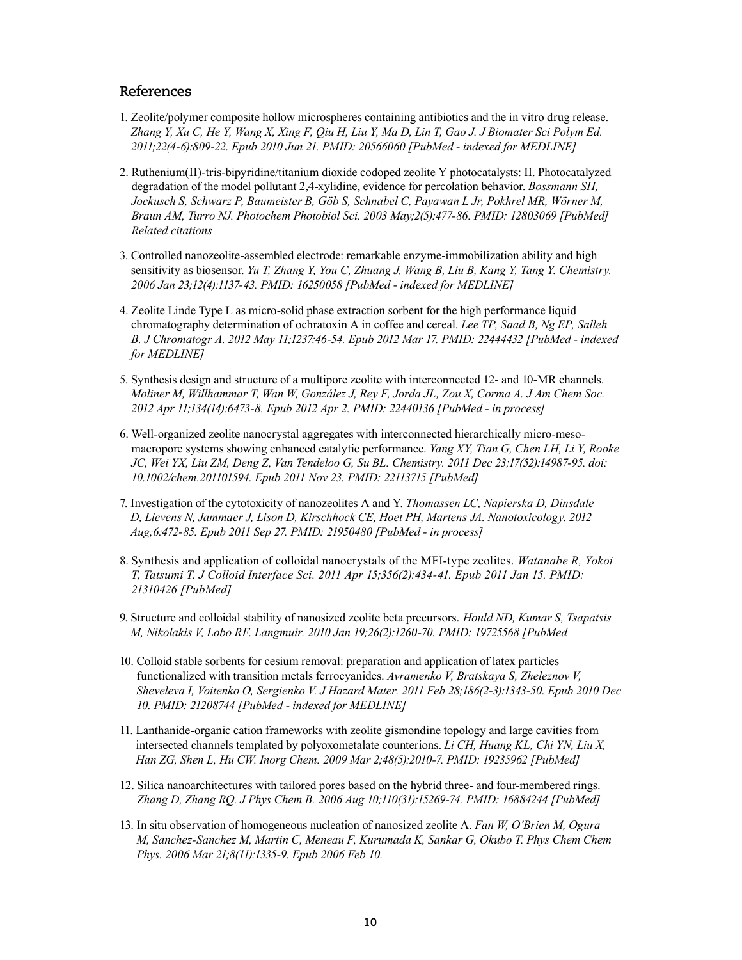#### **References**

- 1. Zeolite/polymer composite hollow microspheres containing antibiotics and the in vitro drug release. *Zhang Y, Xu C, He Y, Wang X, Xing F, Qiu H, Liu Y, Ma D, Lin T, Gao J. J Biomater Sci Polym Ed. 2011;22(4-6):809-22. Epub 2010 Jun 21. PMID: 20566060 [PubMed - indexed for MEDLINE]*
- 2. Ruthenium(II)-tris-bipyridine/titanium dioxide codoped zeolite Y photocatalysts: II. Photocatalyzed degradation of the model pollutant 2,4-xylidine, evidence for percolation behavior. *Bossmann SH, Jockusch S, Schwarz P, Baumeister B, Göb S, Schnabel C, Payawan L Jr, Pokhrel MR, Wörner M, Braun AM, Turro NJ. Photochem Photobiol Sci. 2003 May;2(5):477-86. PMID: 12803069 [PubMed] Related citations*
- 3. Controlled nanozeolite-assembled electrode: remarkable enzyme-immobilization ability and high sensitivity as biosensor. *Yu T, Zhang Y, You C, Zhuang J, Wang B, Liu B, Kang Y, Tang Y. Chemistry. 2006 Jan 23;12(4):1137-43. PMID: 16250058 [PubMed - indexed for MEDLINE]*
- 4. Zeolite Linde Type L as micro-solid phase extraction sorbent for the high performance liquid chromatography determination of ochratoxin A in coffee and cereal. *Lee TP, Saad B, Ng EP, Salleh B. J Chromatogr A. 2012 May 11;1237:46-54. Epub 2012 Mar 17. PMID: 22444432 [PubMed - indexed for MEDLINE]*
- 5. Synthesis design and structure of a multipore zeolite with interconnected 12- and 10-MR channels. *Moliner M, Willhammar T, Wan W, González J, Rey F, Jorda JL, Zou X, Corma A. J Am Chem Soc. 2012 Apr 11;134(14):6473-8. Epub 2012 Apr 2. PMID: 22440136 [PubMed - in process]*
- 6. Well-organized zeolite nanocrystal aggregates with interconnected hierarchically micro-mesomacropore systems showing enhanced catalytic performance. *Yang XY, Tian G, Chen LH, Li Y, Rooke JC, Wei YX, Liu ZM, Deng Z, Van Tendeloo G, Su BL. Chemistry. 2011 Dec 23;17(52):14987-95. doi: 10.1002/chem.201101594. Epub 2011 Nov 23. PMID: 22113715 [PubMed]*
- 7. Investigation of the cytotoxicity of nanozeolites A and Y. *Thomassen LC, Napierska D, Dinsdale D, Lievens N, Jammaer J, Lison D, Kirschhock CE, Hoet PH, Martens JA. Nanotoxicology. 2012 Aug;6:472-85. Epub 2011 Sep 27. PMID: 21950480 [PubMed - in process]*
- 8. Synthesis and application of colloidal nanocrystals of the MFI-type zeolites. *Watanabe R, Yokoi T, Tatsumi T. J Colloid Interface Sci. 2011 Apr 15;356(2):434-41. Epub 2011 Jan 15. PMID: 21310426 [PubMed]*
- 9. Structure and colloidal stability of nanosized zeolite beta precursors. *Hould ND, Kumar S, Tsapatsis M, Nikolakis V, Lobo RF. Langmuir. 2010 Jan 19;26(2):1260-70. PMID: 19725568 [PubMed*
- 10. Colloid stable sorbents for cesium removal: preparation and application of latex particles functionalized with transition metals ferrocyanides. *Avramenko V, Bratskaya S, Zheleznov V, Sheveleva I, Voitenko O, Sergienko V. J Hazard Mater. 2011 Feb 28;186(2-3):1343-50. Epub 2010 Dec 10. PMID: 21208744 [PubMed - indexed for MEDLINE]*
- 11. Lanthanide-organic cation frameworks with zeolite gismondine topology and large cavities from intersected channels templated by polyoxometalate counterions. *Li CH, Huang KL, Chi YN, Liu X, Han ZG, Shen L, Hu CW. Inorg Chem. 2009 Mar 2;48(5):2010-7. PMID: 19235962 [PubMed]*
- 12. Silica nanoarchitectures with tailored pores based on the hybrid three- and four-membered rings. *Zhang D, Zhang RQ. J Phys Chem B. 2006 Aug 10;110(31):15269-74. PMID: 16884244 [PubMed]*
- 13. In situ observation of homogeneous nucleation of nanosized zeolite A. *Fan W, O'Brien M, Ogura M, Sanchez-Sanchez M, Martin C, Meneau F, Kurumada K, Sankar G, Okubo T. Phys Chem Chem Phys. 2006 Mar 21;8(11):1335-9. Epub 2006 Feb 10.*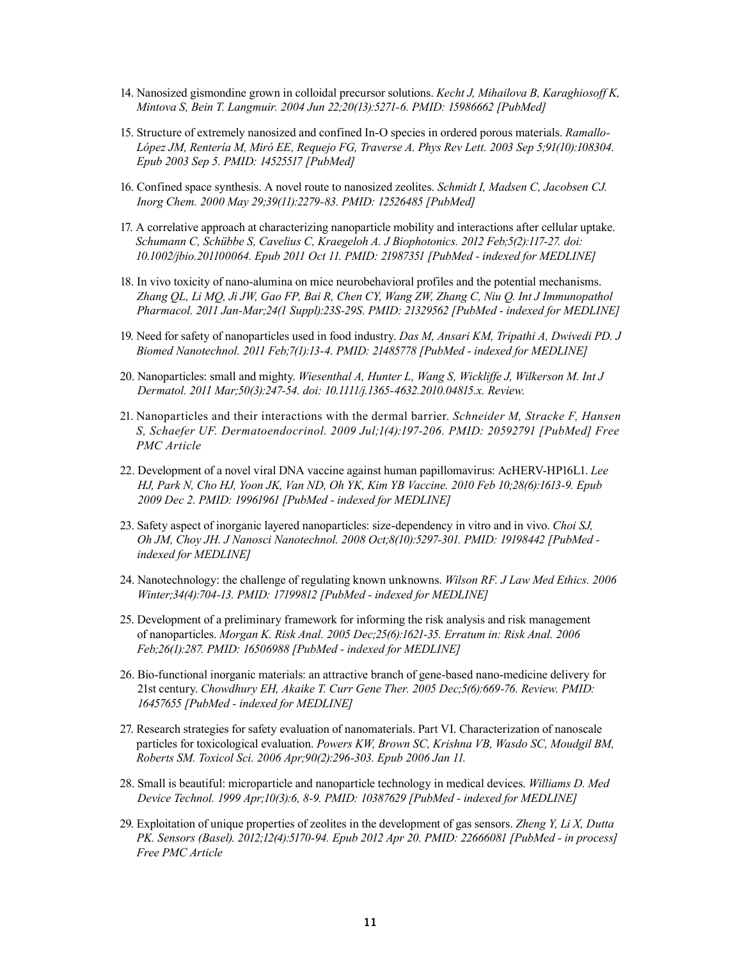- 14. Nanosized gismondine grown in colloidal precursor solutions. *Kecht J, Mihailova B, Karaghiosoff K, Mintova S, Bein T. Langmuir. 2004 Jun 22;20(13):5271-6. PMID: 15986662 [PubMed]*
- 15. Structure of extremely nanosized and confined In-O species in ordered porous materials. *Ramallo-López JM, Rentería M, Miró EE, Requejo FG, Traverse A. Phys Rev Lett. 2003 Sep 5;91(10):108304. Epub 2003 Sep 5. PMID: 14525517 [PubMed]*
- 16. Confined space synthesis. A novel route to nanosized zeolites. *Schmidt I, Madsen C, Jacobsen CJ. Inorg Chem. 2000 May 29;39(11):2279-83. PMID: 12526485 [PubMed]*
- 17. A correlative approach at characterizing nanoparticle mobility and interactions after cellular uptake. *Schumann C, Schübbe S, Cavelius C, Kraegeloh A. J Biophotonics. 2012 Feb;5(2):117-27. doi: 10.1002/jbio.201100064. Epub 2011 Oct 11. PMID: 21987351 [PubMed - indexed for MEDLINE]*
- 18. In vivo toxicity of nano-alumina on mice neurobehavioral profiles and the potential mechanisms. *Zhang QL, Li MQ, Ji JW, Gao FP, Bai R, Chen CY, Wang ZW, Zhang C, Niu Q. Int J Immunopathol Pharmacol. 2011 Jan-Mar;24(1 Suppl):23S-29S. PMID: 21329562 [PubMed - indexed for MEDLINE]*
- 19. Need for safety of nanoparticles used in food industry. *Das M, Ansari KM, Tripathi A, Dwivedi PD. J Biomed Nanotechnol. 2011 Feb;7(1):13-4. PMID: 21485778 [PubMed - indexed for MEDLINE]*
- 20. Nanoparticles: small and mighty. *Wiesenthal A, Hunter L, Wang S, Wickliffe J, Wilkerson M. Int J Dermatol. 2011 Mar;50(3):247-54. doi: 10.1111/j.1365-4632.2010.04815.x. Review.*
- 21. Nanoparticles and their interactions with the dermal barrier. *Schneider M, Stracke F, Hansen S, Schaefer UF. Dermatoendocrinol. 2009 Jul;1(4):197-206. PMID: 20592791 [PubMed] Free PMC Article*
- 22. Development of a novel viral DNA vaccine against human papillomavirus: AcHERV-HP16L1. *Lee HJ, Park N, Cho HJ, Yoon JK, Van ND, Oh YK, Kim YB Vaccine. 2010 Feb 10;28(6):1613-9. Epub 2009 Dec 2. PMID: 19961961 [PubMed - indexed for MEDLINE]*
- 23. Safety aspect of inorganic layered nanoparticles: size-dependency in vitro and in vivo. *Choi SJ, Oh JM, Choy JH. J Nanosci Nanotechnol. 2008 Oct;8(10):5297-301. PMID: 19198442 [PubMed indexed for MEDLINE]*
- 24. Nanotechnology: the challenge of regulating known unknowns. *Wilson RF. J Law Med Ethics. 2006 Winter;34(4):704-13. PMID: 17199812 [PubMed - indexed for MEDLINE]*
- 25. Development of a preliminary framework for informing the risk analysis and risk management of nanoparticles. *Morgan K. Risk Anal. 2005 Dec;25(6):1621-35. Erratum in: Risk Anal. 2006 Feb;26(1):287. PMID: 16506988 [PubMed - indexed for MEDLINE]*
- 26. Bio-functional inorganic materials: an attractive branch of gene-based nano-medicine delivery for 21st century. *Chowdhury EH, Akaike T. Curr Gene Ther. 2005 Dec;5(6):669-76. Review. PMID: 16457655 [PubMed - indexed for MEDLINE]*
- 27. Research strategies for safety evaluation of nanomaterials. Part VI. Characterization of nanoscale particles for toxicological evaluation. *Powers KW, Brown SC, Krishna VB, Wasdo SC, Moudgil BM, Roberts SM. Toxicol Sci. 2006 Apr;90(2):296-303. Epub 2006 Jan 11.*
- 28. Small is beautiful: microparticle and nanoparticle technology in medical devices. *Williams D. Med Device Technol. 1999 Apr;10(3):6, 8-9. PMID: 10387629 [PubMed - indexed for MEDLINE]*
- 29. Exploitation of unique properties of zeolites in the development of gas sensors. *Zheng Y, Li X, Dutta PK. Sensors (Basel). 2012;12(4):5170-94. Epub 2012 Apr 20. PMID: 22666081 [PubMed - in process] Free PMC Article*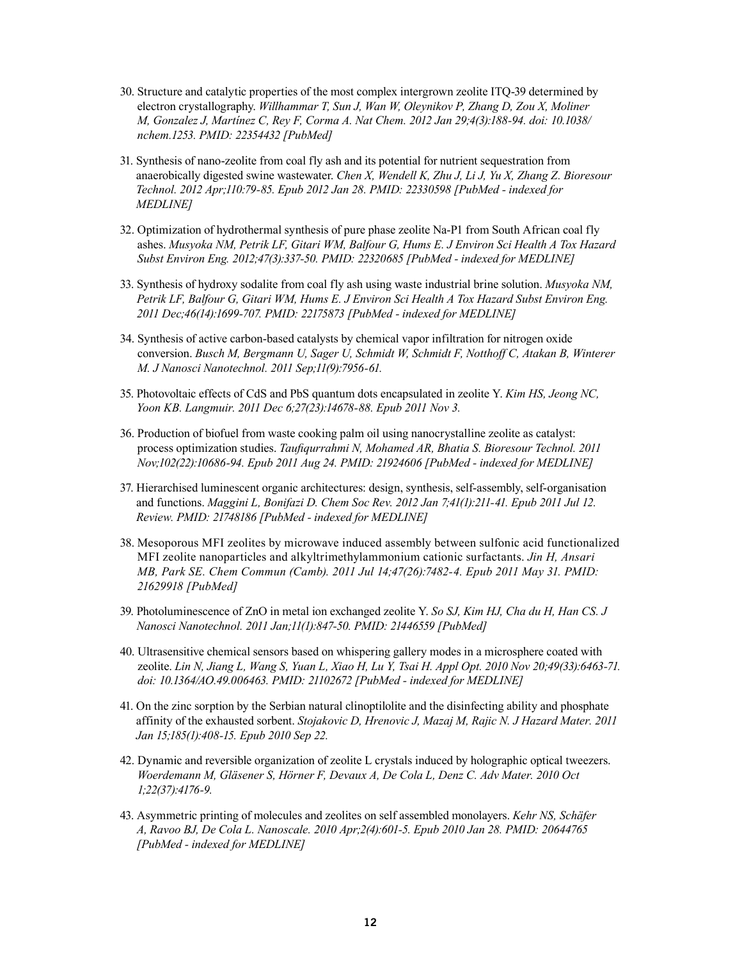- 30. Structure and catalytic properties of the most complex intergrown zeolite ITQ-39 determined by electron crystallography. *Willhammar T, Sun J, Wan W, Oleynikov P, Zhang D, Zou X, Moliner M, Gonzalez J, Martínez C, Rey F, Corma A. Nat Chem. 2012 Jan 29;4(3):188-94. doi: 10.1038/ nchem.1253. PMID: 22354432 [PubMed]*
- 31. Synthesis of nano-zeolite from coal fly ash and its potential for nutrient sequestration from anaerobically digested swine wastewater. *Chen X, Wendell K, Zhu J, Li J, Yu X, Zhang Z. Bioresour Technol. 2012 Apr;110:79-85. Epub 2012 Jan 28. PMID: 22330598 [PubMed - indexed for MEDLINE]*
- 32. Optimization of hydrothermal synthesis of pure phase zeolite Na-P1 from South African coal fly ashes. *Musyoka NM, Petrik LF, Gitari WM, Balfour G, Hums E. J Environ Sci Health A Tox Hazard Subst Environ Eng. 2012;47(3):337-50. PMID: 22320685 [PubMed - indexed for MEDLINE]*
- 33. Synthesis of hydroxy sodalite from coal fly ash using waste industrial brine solution. *Musyoka NM, Petrik LF, Balfour G, Gitari WM, Hums E. J Environ Sci Health A Tox Hazard Subst Environ Eng. 2011 Dec;46(14):1699-707. PMID: 22175873 [PubMed - indexed for MEDLINE]*
- 34. Synthesis of active carbon-based catalysts by chemical vapor infiltration for nitrogen oxide conversion. *Busch M, Bergmann U, Sager U, Schmidt W, Schmidt F, Notthoff C, Atakan B, Winterer M. J Nanosci Nanotechnol. 2011 Sep;11(9):7956-61.*
- 35. Photovoltaic effects of CdS and PbS quantum dots encapsulated in zeolite Y. *Kim HS, Jeong NC, Yoon KB. Langmuir. 2011 Dec 6;27(23):14678-88. Epub 2011 Nov 3.*
- 36. Production of biofuel from waste cooking palm oil using nanocrystalline zeolite as catalyst: process optimization studies. *Taufiqurrahmi N, Mohamed AR, Bhatia S. Bioresour Technol. 2011 Nov;102(22):10686-94. Epub 2011 Aug 24. PMID: 21924606 [PubMed - indexed for MEDLINE]*
- 37. Hierarchised luminescent organic architectures: design, synthesis, self-assembly, self-organisation and functions. *Maggini L, Bonifazi D. Chem Soc Rev. 2012 Jan 7;41(1):211-41. Epub 2011 Jul 12. Review. PMID: 21748186 [PubMed - indexed for MEDLINE]*
- 38. Mesoporous MFI zeolites by microwave induced assembly between sulfonic acid functionalized MFI zeolite nanoparticles and alkyltrimethylammonium cationic surfactants. *Jin H, Ansari MB, Park SE. Chem Commun (Camb). 2011 Jul 14;47(26):7482-4. Epub 2011 May 31. PMID: 21629918 [PubMed]*
- 39. Photoluminescence of ZnO in metal ion exchanged zeolite Y. *So SJ, Kim HJ, Cha du H, Han CS. J Nanosci Nanotechnol. 2011 Jan;11(1):847-50. PMID: 21446559 [PubMed]*
- 40. Ultrasensitive chemical sensors based on whispering gallery modes in a microsphere coated with zeolite. *Lin N, Jiang L, Wang S, Yuan L, Xiao H, Lu Y, Tsai H. Appl Opt. 2010 Nov 20;49(33):6463-71. doi: 10.1364/AO.49.006463. PMID: 21102672 [PubMed - indexed for MEDLINE]*
- 41. On the zinc sorption by the Serbian natural clinoptilolite and the disinfecting ability and phosphate affinity of the exhausted sorbent. *Stojakovic D, Hrenovic J, Mazaj M, Rajic N. J Hazard Mater. 2011 Jan 15;185(1):408-15. Epub 2010 Sep 22.*
- 42. Dynamic and reversible organization of zeolite L crystals induced by holographic optical tweezers. *Woerdemann M, Gläsener S, Hörner F, Devaux A, De Cola L, Denz C. Adv Mater. 2010 Oct 1;22(37):4176-9.*
- 43. Asymmetric printing of molecules and zeolites on self assembled monolayers. *Kehr NS, Schäfer A, Ravoo BJ, De Cola L. Nanoscale. 2010 Apr;2(4):601-5. Epub 2010 Jan 28. PMID: 20644765 [PubMed - indexed for MEDLINE]*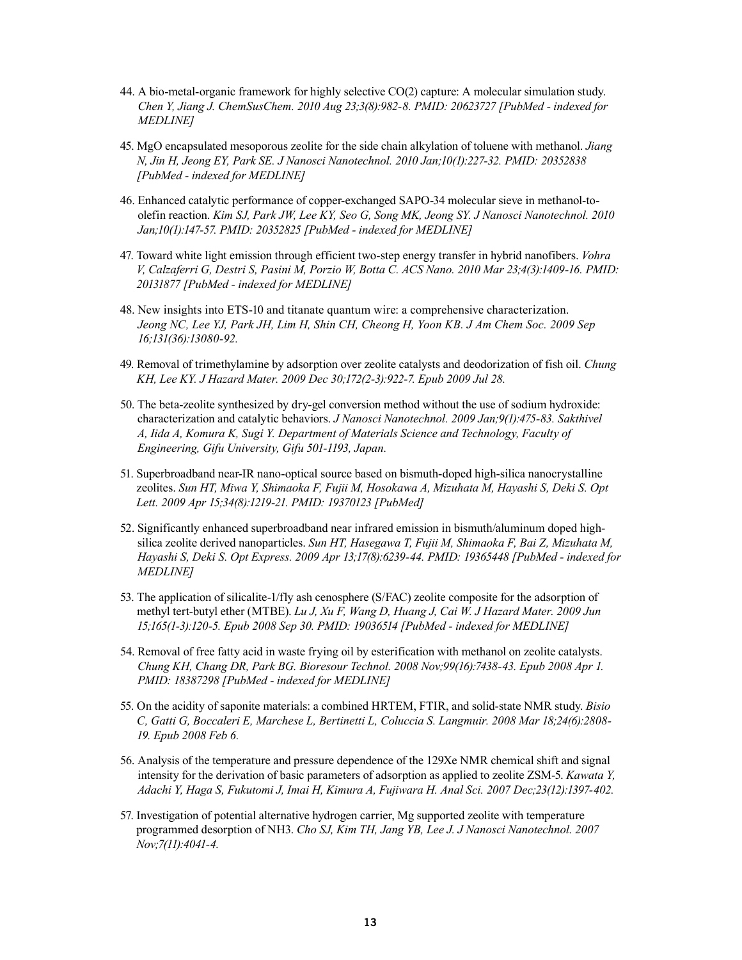- 44. A bio-metal-organic framework for highly selective CO(2) capture: A molecular simulation study. *Chen Y, Jiang J. ChemSusChem. 2010 Aug 23;3(8):982-8. PMID: 20623727 [PubMed - indexed for MEDLINE]*
- 45. MgO encapsulated mesoporous zeolite for the side chain alkylation of toluene with methanol. *Jiang N, Jin H, Jeong EY, Park SE. J Nanosci Nanotechnol. 2010 Jan;10(1):227-32. PMID: 20352838 [PubMed - indexed for MEDLINE]*
- 46. Enhanced catalytic performance of copper-exchanged SAPO-34 molecular sieve in methanol-toolefin reaction. *Kim SJ, Park JW, Lee KY, Seo G, Song MK, Jeong SY. J Nanosci Nanotechnol. 2010 Jan;10(1):147-57. PMID: 20352825 [PubMed - indexed for MEDLINE]*
- 47. Toward white light emission through efficient two-step energy transfer in hybrid nanofibers. *Vohra V, Calzaferri G, Destri S, Pasini M, Porzio W, Botta C. ACS Nano. 2010 Mar 23;4(3):1409-16. PMID: 20131877 [PubMed - indexed for MEDLINE]*
- 48. New insights into ETS-10 and titanate quantum wire: a comprehensive characterization. *Jeong NC, Lee YJ, Park JH, Lim H, Shin CH, Cheong H, Yoon KB. J Am Chem Soc. 2009 Sep 16;131(36):13080-92.*
- 49. Removal of trimethylamine by adsorption over zeolite catalysts and deodorization of fish oil. *Chung KH, Lee KY. J Hazard Mater. 2009 Dec 30;172(2-3):922-7. Epub 2009 Jul 28.*
- 50. The beta-zeolite synthesized by dry-gel conversion method without the use of sodium hydroxide: characterization and catalytic behaviors. *J Nanosci Nanotechnol. 2009 Jan;9(1):475-83. Sakthivel A, Iida A, Komura K, Sugi Y. Department of Materials Science and Technology, Faculty of Engineering, Gifu University, Gifu 501-1193, Japan.*
- 51. Superbroadband near-IR nano-optical source based on bismuth-doped high-silica nanocrystalline zeolites. *Sun HT, Miwa Y, Shimaoka F, Fujii M, Hosokawa A, Mizuhata M, Hayashi S, Deki S. Opt Lett. 2009 Apr 15;34(8):1219-21. PMID: 19370123 [PubMed]*
- 52. Significantly enhanced superbroadband near infrared emission in bismuth/aluminum doped highsilica zeolite derived nanoparticles. *Sun HT, Hasegawa T, Fujii M, Shimaoka F, Bai Z, Mizuhata M, Hayashi S, Deki S. Opt Express. 2009 Apr 13;17(8):6239-44. PMID: 19365448 [PubMed - indexed for MEDLINE]*
- 53. The application of silicalite-1/fly ash cenosphere (S/FAC) zeolite composite for the adsorption of methyl tert-butyl ether (MTBE). *Lu J, Xu F, Wang D, Huang J, Cai W. J Hazard Mater. 2009 Jun 15;165(1-3):120-5. Epub 2008 Sep 30. PMID: 19036514 [PubMed - indexed for MEDLINE]*
- 54. Removal of free fatty acid in waste frying oil by esterification with methanol on zeolite catalysts. *Chung KH, Chang DR, Park BG. Bioresour Technol. 2008 Nov;99(16):7438-43. Epub 2008 Apr 1. PMID: 18387298 [PubMed - indexed for MEDLINE]*
- 55. On the acidity of saponite materials: a combined HRTEM, FTIR, and solid-state NMR study. *Bisio C, Gatti G, Boccaleri E, Marchese L, Bertinetti L, Coluccia S. Langmuir. 2008 Mar 18;24(6):2808- 19. Epub 2008 Feb 6.*
- 56. Analysis of the temperature and pressure dependence of the 129Xe NMR chemical shift and signal intensity for the derivation of basic parameters of adsorption as applied to zeolite ZSM-5. *Kawata Y, Adachi Y, Haga S, Fukutomi J, Imai H, Kimura A, Fujiwara H. Anal Sci. 2007 Dec;23(12):1397-402.*
- 57. Investigation of potential alternative hydrogen carrier, Mg supported zeolite with temperature programmed desorption of NH3. *Cho SJ, Kim TH, Jang YB, Lee J. J Nanosci Nanotechnol. 2007 Nov;7(11):4041-4.*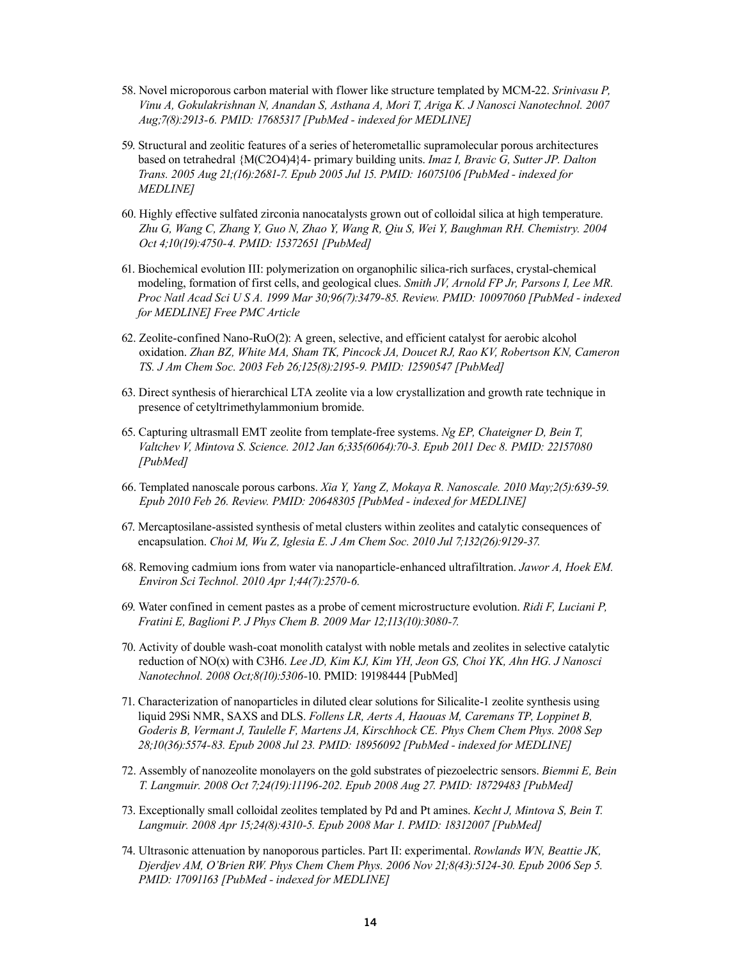- 58. Novel microporous carbon material with flower like structure templated by MCM-22. *Srinivasu P, Vinu A, Gokulakrishnan N, Anandan S, Asthana A, Mori T, Ariga K. J Nanosci Nanotechnol. 2007 Aug;7(8):2913-6. PMID: 17685317 [PubMed - indexed for MEDLINE]*
- 59. Structural and zeolitic features of a series of heterometallic supramolecular porous architectures based on tetrahedral {M(C2O4)4}4- primary building units. *Imaz I, Bravic G, Sutter JP. Dalton Trans. 2005 Aug 21;(16):2681-7. Epub 2005 Jul 15. PMID: 16075106 [PubMed - indexed for MEDLINE]*
- 60. Highly effective sulfated zirconia nanocatalysts grown out of colloidal silica at high temperature. *Zhu G, Wang C, Zhang Y, Guo N, Zhao Y, Wang R, Qiu S, Wei Y, Baughman RH. Chemistry. 2004 Oct 4;10(19):4750-4. PMID: 15372651 [PubMed]*
- 61. Biochemical evolution III: polymerization on organophilic silica-rich surfaces, crystal-chemical modeling, formation of first cells, and geological clues. *Smith JV, Arnold FP Jr, Parsons I, Lee MR. Proc Natl Acad Sci U S A. 1999 Mar 30;96(7):3479-85. Review. PMID: 10097060 [PubMed - indexed for MEDLINE] Free PMC Article*
- 62. Zeolite-confined Nano-RuO(2): A green, selective, and efficient catalyst for aerobic alcohol oxidation. *Zhan BZ, White MA, Sham TK, Pincock JA, Doucet RJ, Rao KV, Robertson KN, Cameron TS. J Am Chem Soc. 2003 Feb 26;125(8):2195-9. PMID: 12590547 [PubMed]*
- 63. Direct synthesis of hierarchical LTA zeolite via a low crystallization and growth rate technique in presence of cetyltrimethylammonium bromide.
- 65. Capturing ultrasmall EMT zeolite from template-free systems. *Ng EP, Chateigner D, Bein T, Valtchev V, Mintova S. Science. 2012 Jan 6;335(6064):70-3. Epub 2011 Dec 8. PMID: 22157080 [PubMed]*
- 66. Templated nanoscale porous carbons. *Xia Y, Yang Z, Mokaya R. Nanoscale. 2010 May;2(5):639-59. Epub 2010 Feb 26. Review. PMID: 20648305 [PubMed - indexed for MEDLINE]*
- 67. Mercaptosilane-assisted synthesis of metal clusters within zeolites and catalytic consequences of encapsulation. *Choi M, Wu Z, Iglesia E. J Am Chem Soc. 2010 Jul 7;132(26):9129-37.*
- 68. Removing cadmium ions from water via nanoparticle-enhanced ultrafiltration. *Jawor A, Hoek EM. Environ Sci Technol. 2010 Apr 1;44(7):2570-6.*
- 69. Water confined in cement pastes as a probe of cement microstructure evolution. *Ridi F, Luciani P, Fratini E, Baglioni P. J Phys Chem B. 2009 Mar 12;113(10):3080-7.*
- 70. Activity of double wash-coat monolith catalyst with noble metals and zeolites in selective catalytic reduction of NO(x) with C3H6. *Lee JD, Kim KJ, Kim YH, Jeon GS, Choi YK, Ahn HG. J Nanosci Nanotechnol. 2008 Oct;8(10):5306-*10. PMID: 19198444 [PubMed]
- 71. Characterization of nanoparticles in diluted clear solutions for Silicalite-1 zeolite synthesis using liquid 29Si NMR, SAXS and DLS. *Follens LR, Aerts A, Haouas M, Caremans TP, Loppinet B, Goderis B, Vermant J, Taulelle F, Martens JA, Kirschhock CE. Phys Chem Chem Phys. 2008 Sep 28;10(36):5574-83. Epub 2008 Jul 23. PMID: 18956092 [PubMed - indexed for MEDLINE]*
- 72. Assembly of nanozeolite monolayers on the gold substrates of piezoelectric sensors. *Biemmi E, Bein T. Langmuir. 2008 Oct 7;24(19):11196-202. Epub 2008 Aug 27. PMID: 18729483 [PubMed]*
- 73. Exceptionally small colloidal zeolites templated by Pd and Pt amines. *Kecht J, Mintova S, Bein T. Langmuir. 2008 Apr 15;24(8):4310-5. Epub 2008 Mar 1. PMID: 18312007 [PubMed]*
- 74. Ultrasonic attenuation by nanoporous particles. Part II: experimental. *Rowlands WN, Beattie JK, Djerdjev AM, O'Brien RW. Phys Chem Chem Phys. 2006 Nov 21;8(43):5124-30. Epub 2006 Sep 5. PMID: 17091163 [PubMed - indexed for MEDLINE]*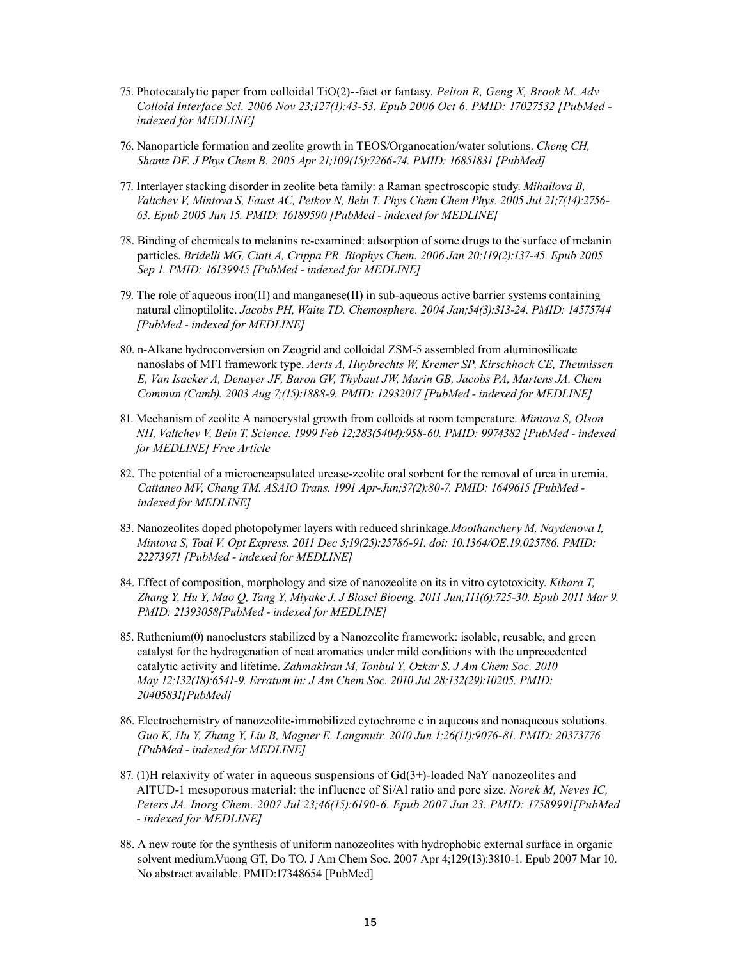- 75. Photocatalytic paper from colloidal TiO(2)--fact or fantasy. *Pelton R, Geng X, Brook M. Adv Colloid Interface Sci. 2006 Nov 23;127(1):43-53. Epub 2006 Oct 6. PMID: 17027532 [PubMed indexed for MEDLINE]*
- 76. Nanoparticle formation and zeolite growth in TEOS/Organocation/water solutions. *Cheng CH, Shantz DF. J Phys Chem B. 2005 Apr 21;109(15):7266-74. PMID: 16851831 [PubMed]*
- 77. Interlayer stacking disorder in zeolite beta family: a Raman spectroscopic study. *Mihailova B, Valtchev V, Mintova S, Faust AC, Petkov N, Bein T. Phys Chem Chem Phys. 2005 Jul 21;7(14):2756- 63. Epub 2005 Jun 15. PMID: 16189590 [PubMed - indexed for MEDLINE]*
- 78. Binding of chemicals to melanins re-examined: adsorption of some drugs to the surface of melanin particles. *Bridelli MG, Ciati A, Crippa PR. Biophys Chem. 2006 Jan 20;119(2):137-45. Epub 2005 Sep 1. PMID: 16139945 [PubMed - indexed for MEDLINE]*
- 79. The role of aqueous iron(II) and manganese(II) in sub-aqueous active barrier systems containing natural clinoptilolite. *Jacobs PH, Waite TD. Chemosphere. 2004 Jan;54(3):313-24. PMID: 14575744 [PubMed - indexed for MEDLINE]*
- 80. n-Alkane hydroconversion on Zeogrid and colloidal ZSM-5 assembled from aluminosilicate nanoslabs of MFI framework type. *Aerts A, Huybrechts W, Kremer SP, Kirschhock CE, Theunissen E, Van Isacker A, Denayer JF, Baron GV, Thybaut JW, Marin GB, Jacobs PA, Martens JA. Chem Commun (Camb). 2003 Aug 7;(15):1888-9. PMID: 12932017 [PubMed - indexed for MEDLINE]*
- 81. Mechanism of zeolite A nanocrystal growth from colloids at room temperature. *Mintova S, Olson NH, Valtchev V, Bein T. Science. 1999 Feb 12;283(5404):958-60. PMID: 9974382 [PubMed - indexed for MEDLINE] Free Article*
- 82. The potential of a microencapsulated urease-zeolite oral sorbent for the removal of urea in uremia. *Cattaneo MV, Chang TM. ASAIO Trans. 1991 Apr-Jun;37(2):80-7. PMID: 1649615 [PubMed indexed for MEDLINE]*
- 83. Nanozeolites doped photopolymer layers with reduced shrinkage.*Moothanchery M, Naydenova I, Mintova S, Toal V. Opt Express. 2011 Dec 5;19(25):25786-91. doi: 10.1364/OE.19.025786. PMID: 22273971 [PubMed - indexed for MEDLINE]*
- 84. Effect of composition, morphology and size of nanozeolite on its in vitro cytotoxicity. *Kihara T, Zhang Y, Hu Y, Mao Q, Tang Y, Miyake J. J Biosci Bioeng. 2011 Jun;111(6):725-30. Epub 2011 Mar 9. PMID: 21393058[PubMed - indexed for MEDLINE]*
- 85. Ruthenium(0) nanoclusters stabilized by a Nanozeolite framework: isolable, reusable, and green catalyst for the hydrogenation of neat aromatics under mild conditions with the unprecedented catalytic activity and lifetime. *Zahmakiran M, Tonbul Y, Ozkar S. J Am Chem Soc. 2010 May 12;132(18):6541-9. Erratum in: J Am Chem Soc. 2010 Jul 28;132(29):10205. PMID: 20405831[PubMed]*
- 86. Electrochemistry of nanozeolite-immobilized cytochrome c in aqueous and nonaqueous solutions. *Guo K, Hu Y, Zhang Y, Liu B, Magner E. Langmuir. 2010 Jun 1;26(11):9076-81. PMID: 20373776 [PubMed - indexed for MEDLINE]*
- 87. (1)H relaxivity of water in aqueous suspensions of Gd(3+)-loaded NaY nanozeolites and AlTUD-1 mesoporous material: the influence of Si/Al ratio and pore size. *Norek M, Neves IC, Peters JA. Inorg Chem. 2007 Jul 23;46(15):6190-6. Epub 2007 Jun 23. PMID: 17589991[PubMed - indexed for MEDLINE]*
- 88. A new route for the synthesis of uniform nanozeolites with hydrophobic external surface in organic solvent medium.Vuong GT, Do TO. J Am Chem Soc. 2007 Apr 4;129(13):3810-1. Epub 2007 Mar 10. No abstract available. PMID:17348654 [PubMed]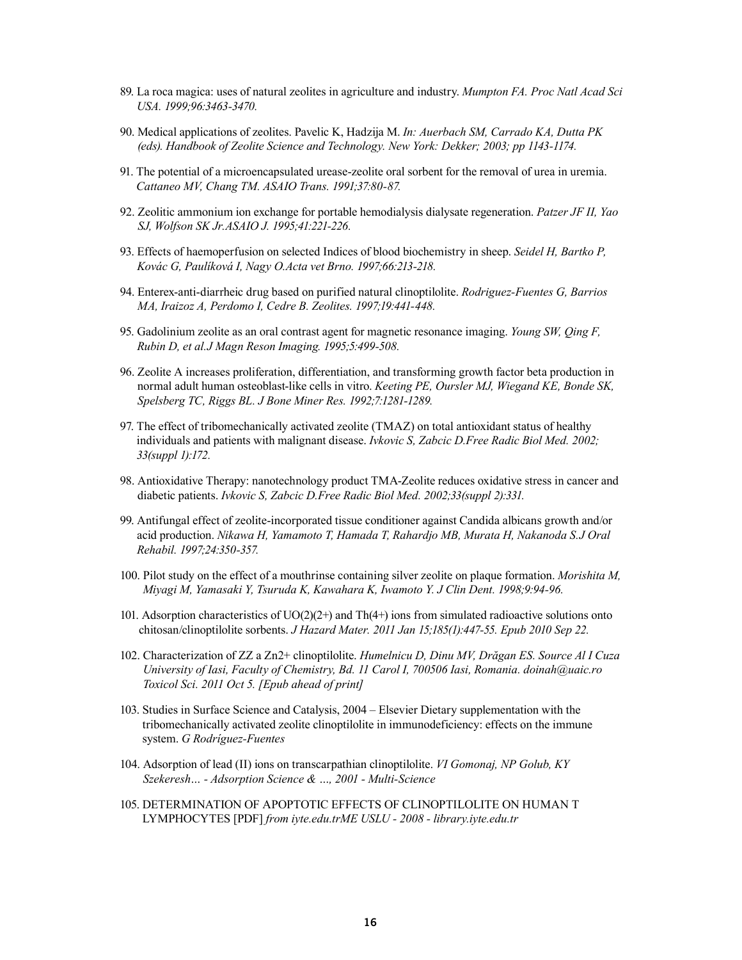- 89. La roca magica: uses of natural zeolites in agriculture and industry. *Mumpton FA. Proc Natl Acad Sci USA. 1999;96:3463-3470.*
- 90. Medical applications of zeolites. Pavelic K, Hadzija M. *In: Auerbach SM, Carrado KA, Dutta PK (eds). Handbook of Zeolite Science and Technology. New York: Dekker; 2003; pp 1143-1174.*
- 91. The potential of a microencapsulated urease-zeolite oral sorbent for the removal of urea in uremia. *Cattaneo MV, Chang TM. ASAIO Trans. 1991;37:80-87.*
- 92. Zeolitic ammonium ion exchange for portable hemodialysis dialysate regeneration. *Patzer JF II, Yao SJ, Wolfson SK Jr.ASAIO J. 1995;41:221-226.*
- 93. Effects of haemoperfusion on selected Indices of blood biochemistry in sheep. *Seidel H, Bartko P, Kovác G, Paulíková I, Nagy O.Acta vet Brno. 1997;66:213-218.*
- 94. Enterex-anti-diarrheic drug based on purified natural clinoptilolite. *Rodriguez-Fuentes G, Barrios MA, Iraizoz A, Perdomo I, Cedre B. Zeolites. 1997;19:441-448.*
- 95. Gadolinium zeolite as an oral contrast agent for magnetic resonance imaging. *Young SW, Qing F, Rubin D, et al.J Magn Reson Imaging. 1995;5:499-508.*
- 96. Zeolite A increases proliferation, differentiation, and transforming growth factor beta production in normal adult human osteoblast-like cells in vitro. *Keeting PE, Oursler MJ, Wiegand KE, Bonde SK, Spelsberg TC, Riggs BL. J Bone Miner Res. 1992;7:1281-1289.*
- 97. The effect of tribomechanically activated zeolite (TMAZ) on total antioxidant status of healthy individuals and patients with malignant disease. *Ivkovic S, Zabcic D.Free Radic Biol Med. 2002; 33(suppl 1):172.*
- 98. Antioxidative Therapy: nanotechnology product TMA-Zeolite reduces oxidative stress in cancer and diabetic patients. *Ivkovic S, Zabcic D.Free Radic Biol Med. 2002;33(suppl 2):331.*
- 99. Antifungal effect of zeolite-incorporated tissue conditioner against Candida albicans growth and/or acid production. *Nikawa H, Yamamoto T, Hamada T, Rahardjo MB, Murata H, Nakanoda S.J Oral Rehabil. 1997;24:350-357.*
- 100. Pilot study on the effect of a mouthrinse containing silver zeolite on plaque formation. *Morishita M, Miyagi M, Yamasaki Y, Tsuruda K, Kawahara K, Iwamoto Y. J Clin Dent. 1998;9:94-96.*
- 101. Adsorption characteristics of  $UO(2)(2+)$  and Th(4+) ions from simulated radioactive solutions onto chitosan/clinoptilolite sorbents. *J Hazard Mater. 2011 Jan 15;185(1):447-55. Epub 2010 Sep 22.*
- 102. Characterization of ZZ a Zn2+ clinoptilolite. *Humelnicu D, Dinu MV, Drăgan ES. Source Al I Cuza University of Iasi, Faculty of Chemistry, Bd. 11 Carol I, 700506 Iasi, Romania. doinah@uaic.ro Toxicol Sci. 2011 Oct 5. [Epub ahead of print]*
- 103. Studies in Surface Science and Catalysis, 2004 Elsevier Dietary supplementation with the tribomechanically activated zeolite clinoptilolite in immunodeficiency: effects on the immune system. *G Rodríguez-Fuentes*
- 104. Adsorption of lead (II) ions on transcarpathian clinoptilolite. *VI Gomonaj, NP Golub, KY Szekeresh… - Adsorption Science & …, 2001 - Multi-Science*
- 105. DETERMINATION OF APOPTOTIC EFFECTS OF CLINOPTILOLITE ON HUMAN T LYMPHOCYTES [PDF] *from iyte.edu.trME USLU - 2008 - library.iyte.edu.tr*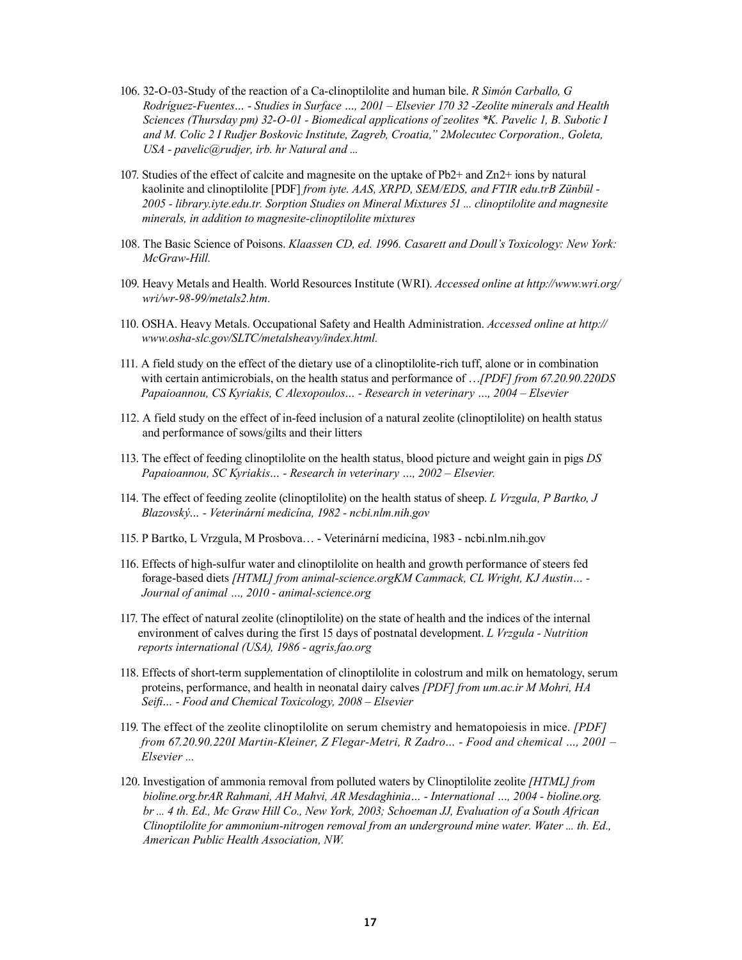- 106. 32-O-03-Study of the reaction of a Ca-clinoptilolite and human bile. *R Simón Carballo, G Rodríguez-Fuentes… - Studies in Surface …, 2001 – Elsevier 170 32 -Zeolite minerals and Health Sciences (Thursday pm) 32-O-01 - Biomedical applications of zeolites \*K. Pavelic 1, B. Subotic I and M. Colic 2 I Rudjer Boskovic Institute, Zagreb, Croatia," 2Molecutec Corporation., Goleta, USA - pavelic@rudjer, irb. hr Natural and ...*
- 107. Studies of the effect of calcite and magnesite on the uptake of Pb2+ and Zn2+ ions by natural kaolinite and clinoptilolite [PDF] *from iyte. AAS, XRPD, SEM/EDS, and FTIR edu.trB Zünbül - 2005 - library.iyte.edu.tr. Sorption Studies on Mineral Mixtures 51 ... clinoptilolite and magnesite minerals, in addition to magnesite-clinoptilolite mixtures*
- 108. The Basic Science of Poisons. *Klaassen CD, ed. 1996. Casarett and Doull's Toxicology: New York: McGraw-Hill.*
- 109. Heavy Metals and Health. World Resources Institute (WRI). *Accessed online at http://www.wri.org/ wri/wr-98-99/metals2.htm.*
- 110. OSHA. Heavy Metals. Occupational Safety and Health Administration. *Accessed online at http:// www.osha-slc.gov/SLTC/metalsheavy/index.html.*
- 111. A field study on the effect of the dietary use of a clinoptilolite-rich tuff, alone or in combination with certain antimicrobials, on the health status and performance of …*[PDF] from 67.20.90.220DS Papaioannou, CS Kyriakis, C Alexopoulos… - Research in veterinary …, 2004 – Elsevier*
- 112. A field study on the effect of in-feed inclusion of a natural zeolite (clinoptilolite) on health status and performance of sows/gilts and their litters
- 113. The effect of feeding clinoptilolite on the health status, blood picture and weight gain in pigs *DS Papaioannou, SC Kyriakis… - Research in veterinary …, 2002 – Elsevier.*
- 114. The effect of feeding zeolite (clinoptilolite) on the health status of sheep. *L Vrzgula, P Bartko, J Blazovský… - Veterinární medicína, 1982 - ncbi.nlm.nih.gov*
- 115. P Bartko, L Vrzgula, M Prosbova… Veterinární medicína, 1983 ncbi.nlm.nih.gov
- 116. Effects of high-sulfur water and clinoptilolite on health and growth performance of steers fed forage-based diets *[HTML] from animal-science.orgKM Cammack, CL Wright, KJ Austin… - Journal of animal …, 2010 - animal-science.org*
- 117. The effect of natural zeolite (clinoptilolite) on the state of health and the indices of the internal environment of calves during the first 15 days of postnatal development. *L Vrzgula - Nutrition reports international (USA), 1986 - agris.fao.org*
- 118. Effects of short-term supplementation of clinoptilolite in colostrum and milk on hematology, serum proteins, performance, and health in neonatal dairy calves *[PDF] from um.ac.ir M Mohri, HA Seifi… - Food and Chemical Toxicology, 2008 – Elsevier*
- 119. The effect of the zeolite clinoptilolite on serum chemistry and hematopoiesis in mice. *[PDF] from 67.20.90.220I Martin-Kleiner, Z Flegar-Metri, R Zadro… - Food and chemical …, 2001 – Elsevier ...*
- 120. Investigation of ammonia removal from polluted waters by Clinoptilolite zeolite *[HTML] from bioline.org.brAR Rahmani, AH Mahvi, AR Mesdaghinia… - International …, 2004 - bioline.org. br ... 4 th. Ed., Mc Graw Hill Co., New York, 2003; Schoeman JJ, Evaluation of a South African Clinoptilolite for ammonium-nitrogen removal from an underground mine water. Water ... th. Ed., American Public Health Association, NW.*